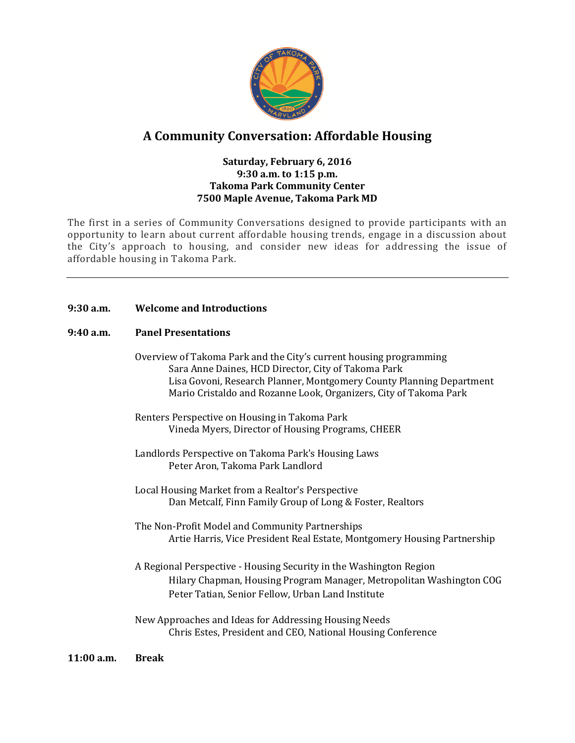

# **A Community Conversation: Affordable Housing**

## **Saturday, February 6, 2016 9:30 a.m. to 1:15 p.m. Takoma Park Community Center 7500 Maple Avenue, Takoma Park MD**

The first in a series of Community Conversations designed to provide participants with an opportunity to learn about current affordable housing trends, engage in a discussion about the City's approach to housing, and consider new ideas for addressing the issue of affordable housing in Takoma Park.

## **9:30 a.m. Welcome and Introductions**

## **9:40 a.m. Panel Presentations**

- Overview of Takoma Park and the City's current housing programming Sara Anne Daines, HCD Director, City of Takoma Park Lisa Govoni, Research Planner, Montgomery County Planning Department Mario Cristaldo and Rozanne Look, Organizers, City of Takoma Park
- Renters Perspective on Housing in Takoma Park Vineda Myers, Director of Housing Programs, CHEER
- Landlords Perspective on Takoma Park's Housing Laws Peter Aron, Takoma Park Landlord
- Local Housing Market from a Realtor's Perspective Dan Metcalf, Finn Family Group of Long & Foster, Realtors
- The Non-Profit Model and Community Partnerships Artie Harris, Vice President Real Estate, Montgomery Housing Partnership
- A Regional Perspective Housing Security in the Washington Region Hilary Chapman, Housing Program Manager, Metropolitan Washington COG Peter Tatian, Senior Fellow, Urban Land Institute
- New Approaches and Ideas for Addressing Housing Needs Chris Estes, President and CEO, National Housing Conference

## **11:00 a.m. Break**